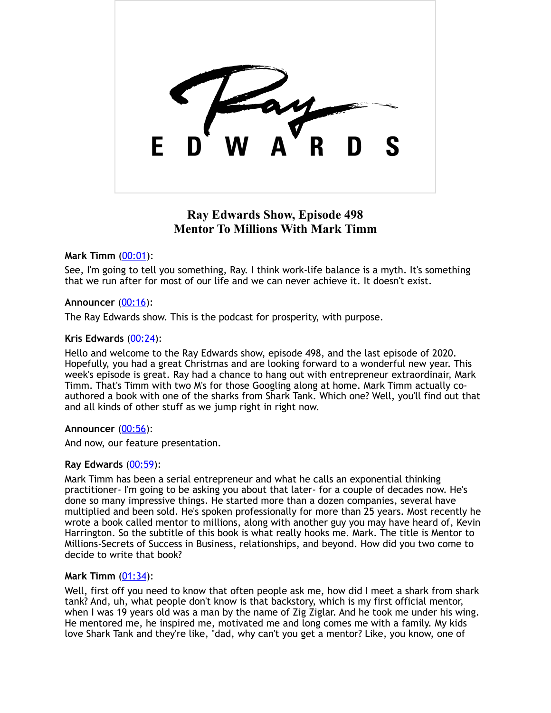

# **Ray Edwards Show, Episode 498 Mentor To Millions With Mark Timm**

## **Mark Timm** ([00:01\)](https://www.temi.com/editor/t/qz9LEkyW01_XT7wrkiBQu8gVQmfB359_rsansvXy8Ydkx27KrsJKnJS6HzMYf9mDFS7pt4e6OFFHl3FV7EJvDQsi66o?loadFrom=DocumentDeeplink&ts=1.53):

See, I'm going to tell you something, Ray. I think work-life balance is a myth. It's something that we run after for most of our life and we can never achieve it. It doesn't exist.

### **Announcer** [\(00:16](https://www.temi.com/editor/t/qz9LEkyW01_XT7wrkiBQu8gVQmfB359_rsansvXy8Ydkx27KrsJKnJS6HzMYf9mDFS7pt4e6OFFHl3FV7EJvDQsi66o?loadFrom=DocumentDeeplink&ts=16.22)):

The Ray Edwards show. This is the podcast for prosperity, with purpose.

## **Kris Edwards** [\(00:24](https://www.temi.com/editor/t/qz9LEkyW01_XT7wrkiBQu8gVQmfB359_rsansvXy8Ydkx27KrsJKnJS6HzMYf9mDFS7pt4e6OFFHl3FV7EJvDQsi66o?loadFrom=DocumentDeeplink&ts=24.02)):

Hello and welcome to the Ray Edwards show, episode 498, and the last episode of 2020. Hopefully, you had a great Christmas and are looking forward to a wonderful new year. This week's episode is great. Ray had a chance to hang out with entrepreneur extraordinair, Mark Timm. That's Timm with two M's for those Googling along at home. Mark Timm actually coauthored a book with one of the sharks from Shark Tank. Which one? Well, you'll find out that and all kinds of other stuff as we jump right in right now.

## **Announcer** [\(00:56](https://www.temi.com/editor/t/qz9LEkyW01_XT7wrkiBQu8gVQmfB359_rsansvXy8Ydkx27KrsJKnJS6HzMYf9mDFS7pt4e6OFFHl3FV7EJvDQsi66o?loadFrom=DocumentDeeplink&ts=56.15)):

And now, our feature presentation.

### **Ray Edwards** [\(00:59](https://www.temi.com/editor/t/qz9LEkyW01_XT7wrkiBQu8gVQmfB359_rsansvXy8Ydkx27KrsJKnJS6HzMYf9mDFS7pt4e6OFFHl3FV7EJvDQsi66o?loadFrom=DocumentDeeplink&ts=59.75)):

Mark Timm has been a serial entrepreneur and what he calls an exponential thinking practitioner- I'm going to be asking you about that later- for a couple of decades now. He's done so many impressive things. He started more than a dozen companies, several have multiplied and been sold. He's spoken professionally for more than 25 years. Most recently he wrote a book called mentor to millions, along with another guy you may have heard of, Kevin Harrington. So the subtitle of this book is what really hooks me. Mark. The title is Mentor to Millions-Secrets of Success in Business, relationships, and beyond. How did you two come to decide to write that book?

### **Mark Timm** ([01:34\)](https://www.temi.com/editor/t/qz9LEkyW01_XT7wrkiBQu8gVQmfB359_rsansvXy8Ydkx27KrsJKnJS6HzMYf9mDFS7pt4e6OFFHl3FV7EJvDQsi66o?loadFrom=DocumentDeeplink&ts=94.22):

Well, first off you need to know that often people ask me, how did I meet a shark from shark tank? And, uh, what people don't know is that backstory, which is my first official mentor, when I was 19 years old was a man by the name of Zig Ziglar. And he took me under his wing. He mentored me, he inspired me, motivated me and long comes me with a family. My kids love Shark Tank and they're like, "dad, why can't you get a mentor? Like, you know, one of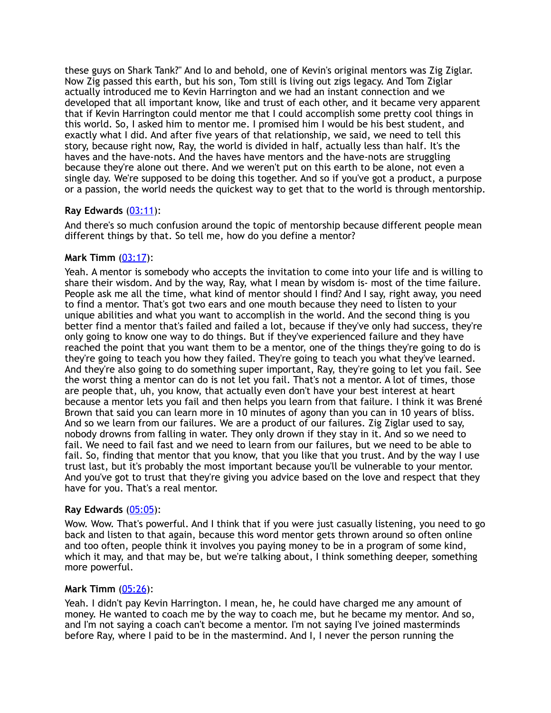these guys on Shark Tank?" And lo and behold, one of Kevin's original mentors was Zig Ziglar. Now Zig passed this earth, but his son, Tom still is living out zigs legacy. And Tom Ziglar actually introduced me to Kevin Harrington and we had an instant connection and we developed that all important know, like and trust of each other, and it became very apparent that if Kevin Harrington could mentor me that I could accomplish some pretty cool things in this world. So, I asked him to mentor me. I promised him I would be his best student, and exactly what I did. And after five years of that relationship, we said, we need to tell this story, because right now, Ray, the world is divided in half, actually less than half. It's the haves and the have-nots. And the haves have mentors and the have-nots are struggling because they're alone out there. And we weren't put on this earth to be alone, not even a single day. We're supposed to be doing this together. And so if you've got a product, a purpose or a passion, the world needs the quickest way to get that to the world is through mentorship.

## **Ray Edwards** [\(03:11](https://www.temi.com/editor/t/qz9LEkyW01_XT7wrkiBQu8gVQmfB359_rsansvXy8Ydkx27KrsJKnJS6HzMYf9mDFS7pt4e6OFFHl3FV7EJvDQsi66o?loadFrom=DocumentDeeplink&ts=191.22)):

And there's so much confusion around the topic of mentorship because different people mean different things by that. So tell me, how do you define a mentor?

## **Mark Timm** ([03:17\)](https://www.temi.com/editor/t/qz9LEkyW01_XT7wrkiBQu8gVQmfB359_rsansvXy8Ydkx27KrsJKnJS6HzMYf9mDFS7pt4e6OFFHl3FV7EJvDQsi66o?loadFrom=DocumentDeeplink&ts=197.91):

Yeah. A mentor is somebody who accepts the invitation to come into your life and is willing to share their wisdom. And by the way, Ray, what I mean by wisdom is- most of the time failure. People ask me all the time, what kind of mentor should I find? And I say, right away, you need to find a mentor. That's got two ears and one mouth because they need to listen to your unique abilities and what you want to accomplish in the world. And the second thing is you better find a mentor that's failed and failed a lot, because if they've only had success, they're only going to know one way to do things. But if they've experienced failure and they have reached the point that you want them to be a mentor, one of the things they're going to do is they're going to teach you how they failed. They're going to teach you what they've learned. And they're also going to do something super important, Ray, they're going to let you fail. See the worst thing a mentor can do is not let you fail. That's not a mentor. A lot of times, those are people that, uh, you know, that actually even don't have your best interest at heart because a mentor lets you fail and then helps you learn from that failure. I think it was Brené Brown that said you can learn more in 10 minutes of agony than you can in 10 years of bliss. And so we learn from our failures. We are a product of our failures. Zig Ziglar used to say, nobody drowns from falling in water. They only drown if they stay in it. And so we need to fail. We need to fail fast and we need to learn from our failures, but we need to be able to fail. So, finding that mentor that you know, that you like that you trust. And by the way I use trust last, but it's probably the most important because you'll be vulnerable to your mentor. And you've got to trust that they're giving you advice based on the love and respect that they have for you. That's a real mentor.

### **Ray Edwards** [\(05:05](https://www.temi.com/editor/t/qz9LEkyW01_XT7wrkiBQu8gVQmfB359_rsansvXy8Ydkx27KrsJKnJS6HzMYf9mDFS7pt4e6OFFHl3FV7EJvDQsi66o?loadFrom=DocumentDeeplink&ts=305.19)):

Wow. Wow. That's powerful. And I think that if you were just casually listening, you need to go back and listen to that again, because this word mentor gets thrown around so often online and too often, people think it involves you paying money to be in a program of some kind, which it may, and that may be, but we're talking about, I think something deeper, something more powerful.

### **Mark Timm** ([05:26\)](https://www.temi.com/editor/t/qz9LEkyW01_XT7wrkiBQu8gVQmfB359_rsansvXy8Ydkx27KrsJKnJS6HzMYf9mDFS7pt4e6OFFHl3FV7EJvDQsi66o?loadFrom=DocumentDeeplink&ts=326.25):

Yeah. I didn't pay Kevin Harrington. I mean, he, he could have charged me any amount of money. He wanted to coach me by the way to coach me, but he became my mentor. And so, and I'm not saying a coach can't become a mentor. I'm not saying I've joined masterminds before Ray, where I paid to be in the mastermind. And I, I never the person running the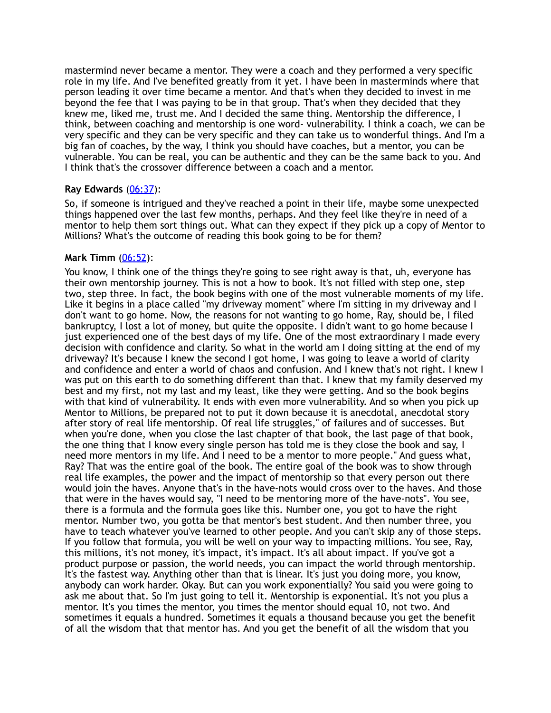mastermind never became a mentor. They were a coach and they performed a very specific role in my life. And I've benefited greatly from it yet. I have been in masterminds where that person leading it over time became a mentor. And that's when they decided to invest in me beyond the fee that I was paying to be in that group. That's when they decided that they knew me, liked me, trust me. And I decided the same thing. Mentorship the difference, I think, between coaching and mentorship is one word- vulnerability. I think a coach, we can be very specific and they can be very specific and they can take us to wonderful things. And I'm a big fan of coaches, by the way, I think you should have coaches, but a mentor, you can be vulnerable. You can be real, you can be authentic and they can be the same back to you. And I think that's the crossover difference between a coach and a mentor.

### **Ray Edwards** [\(06:37](https://www.temi.com/editor/t/qz9LEkyW01_XT7wrkiBQu8gVQmfB359_rsansvXy8Ydkx27KrsJKnJS6HzMYf9mDFS7pt4e6OFFHl3FV7EJvDQsi66o?loadFrom=DocumentDeeplink&ts=397.15)):

So, if someone is intrigued and they've reached a point in their life, maybe some unexpected things happened over the last few months, perhaps. And they feel like they're in need of a mentor to help them sort things out. What can they expect if they pick up a copy of Mentor to Millions? What's the outcome of reading this book going to be for them?

### **Mark Timm** ([06:52\)](https://www.temi.com/editor/t/qz9LEkyW01_XT7wrkiBQu8gVQmfB359_rsansvXy8Ydkx27KrsJKnJS6HzMYf9mDFS7pt4e6OFFHl3FV7EJvDQsi66o?loadFrom=DocumentDeeplink&ts=412):

You know, I think one of the things they're going to see right away is that, uh, everyone has their own mentorship journey. This is not a how to book. It's not filled with step one, step two, step three. In fact, the book begins with one of the most vulnerable moments of my life. Like it begins in a place called "my driveway moment" where I'm sitting in my driveway and I don't want to go home. Now, the reasons for not wanting to go home, Ray, should be, I filed bankruptcy, I lost a lot of money, but quite the opposite. I didn't want to go home because I just experienced one of the best days of my life. One of the most extraordinary I made every decision with confidence and clarity. So what in the world am I doing sitting at the end of my driveway? It's because I knew the second I got home, I was going to leave a world of clarity and confidence and enter a world of chaos and confusion. And I knew that's not right. I knew I was put on this earth to do something different than that. I knew that my family deserved my best and my first, not my last and my least, like they were getting. And so the book begins with that kind of vulnerability. It ends with even more vulnerability. And so when you pick up Mentor to Millions, be prepared not to put it down because it is anecdotal, anecdotal story after story of real life mentorship. Of real life struggles," of failures and of successes. But when you're done, when you close the last chapter of that book, the last page of that book, the one thing that I know every single person has told me is they close the book and say, I need more mentors in my life. And I need to be a mentor to more people." And guess what, Ray? That was the entire goal of the book. The entire goal of the book was to show through real life examples, the power and the impact of mentorship so that every person out there would join the haves. Anyone that's in the have-nots would cross over to the haves. And those that were in the haves would say, "I need to be mentoring more of the have-nots". You see, there is a formula and the formula goes like this. Number one, you got to have the right mentor. Number two, you gotta be that mentor's best student. And then number three, you have to teach whatever you've learned to other people. And you can't skip any of those steps. If you follow that formula, you will be well on your way to impacting millions. You see, Ray, this millions, it's not money, it's impact, it's impact. It's all about impact. If you've got a product purpose or passion, the world needs, you can impact the world through mentorship. It's the fastest way. Anything other than that is linear. It's just you doing more, you know, anybody can work harder. Okay. But can you work exponentially? You said you were going to ask me about that. So I'm just going to tell it. Mentorship is exponential. It's not you plus a mentor. It's you times the mentor, you times the mentor should equal 10, not two. And sometimes it equals a hundred. Sometimes it equals a thousand because you get the benefit of all the wisdom that that mentor has. And you get the benefit of all the wisdom that you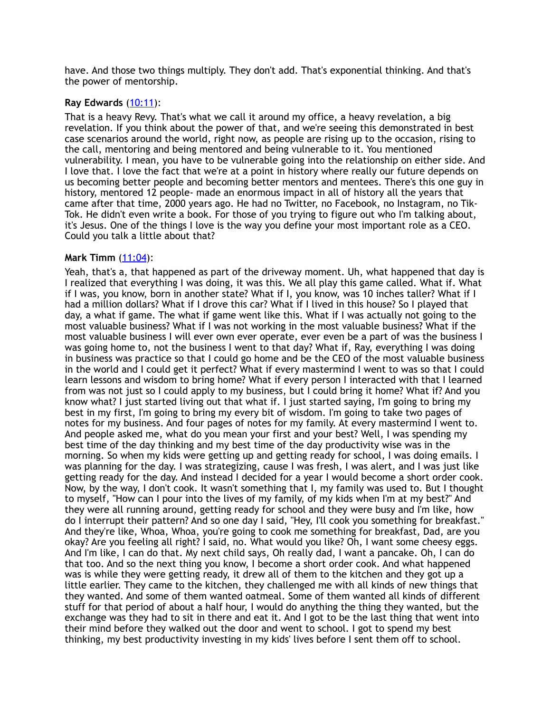have. And those two things multiply. They don't add. That's exponential thinking. And that's the power of mentorship.

## **Ray Edwards** [\(10:11](https://www.temi.com/editor/t/qz9LEkyW01_XT7wrkiBQu8gVQmfB359_rsansvXy8Ydkx27KrsJKnJS6HzMYf9mDFS7pt4e6OFFHl3FV7EJvDQsi66o?loadFrom=DocumentDeeplink&ts=611.06)):

That is a heavy Revy. That's what we call it around my office, a heavy revelation, a big revelation. If you think about the power of that, and we're seeing this demonstrated in best case scenarios around the world, right now, as people are rising up to the occasion, rising to the call, mentoring and being mentored and being vulnerable to it. You mentioned vulnerability. I mean, you have to be vulnerable going into the relationship on either side. And I love that. I love the fact that we're at a point in history where really our future depends on us becoming better people and becoming better mentors and mentees. There's this one guy in history, mentored 12 people- made an enormous impact in all of history all the years that came after that time, 2000 years ago. He had no Twitter, no Facebook, no Instagram, no Tik-Tok. He didn't even write a book. For those of you trying to figure out who I'm talking about, it's Jesus. One of the things I love is the way you define your most important role as a CEO. Could you talk a little about that?

### **Mark Timm** ([11:04\)](https://www.temi.com/editor/t/qz9LEkyW01_XT7wrkiBQu8gVQmfB359_rsansvXy8Ydkx27KrsJKnJS6HzMYf9mDFS7pt4e6OFFHl3FV7EJvDQsi66o?loadFrom=DocumentDeeplink&ts=664.28):

Yeah, that's a, that happened as part of the driveway moment. Uh, what happened that day is I realized that everything I was doing, it was this. We all play this game called. What if. What if I was, you know, born in another state? What if I, you know, was 10 inches taller? What if I had a million dollars? What if I drove this car? What if I lived in this house? So I played that day, a what if game. The what if game went like this. What if I was actually not going to the most valuable business? What if I was not working in the most valuable business? What if the most valuable business I will ever own ever operate, ever even be a part of was the business I was going home to, not the business I went to that day? What if, Ray, everything I was doing in business was practice so that I could go home and be the CEO of the most valuable business in the world and I could get it perfect? What if every mastermind I went to was so that I could learn lessons and wisdom to bring home? What if every person I interacted with that I learned from was not just so I could apply to my business, but I could bring it home? What if? And you know what? I just started living out that what if. I just started saying, I'm going to bring my best in my first, I'm going to bring my every bit of wisdom. I'm going to take two pages of notes for my business. And four pages of notes for my family. At every mastermind I went to. And people asked me, what do you mean your first and your best? Well, I was spending my best time of the day thinking and my best time of the day productivity wise was in the morning. So when my kids were getting up and getting ready for school, I was doing emails. I was planning for the day. I was strategizing, cause I was fresh, I was alert, and I was just like getting ready for the day. And instead I decided for a year I would become a short order cook. Now, by the way, I don't cook. It wasn't something that I, my family was used to. But I thought to myself, "How can I pour into the lives of my family, of my kids when I'm at my best?" And they were all running around, getting ready for school and they were busy and I'm like, how do I interrupt their pattern? And so one day I said, "Hey, I'll cook you something for breakfast." And they're like, Whoa, Whoa, you're going to cook me something for breakfast, Dad, are you okay? Are you feeling all right? I said, no. What would you like? Oh, I want some cheesy eggs. And I'm like, I can do that. My next child says, Oh really dad, I want a pancake. Oh, I can do that too. And so the next thing you know, I become a short order cook. And what happened was is while they were getting ready, it drew all of them to the kitchen and they got up a little earlier. They came to the kitchen, they challenged me with all kinds of new things that they wanted. And some of them wanted oatmeal. Some of them wanted all kinds of different stuff for that period of about a half hour, I would do anything the thing they wanted, but the exchange was they had to sit in there and eat it. And I got to be the last thing that went into their mind before they walked out the door and went to school. I got to spend my best thinking, my best productivity investing in my kids' lives before I sent them off to school.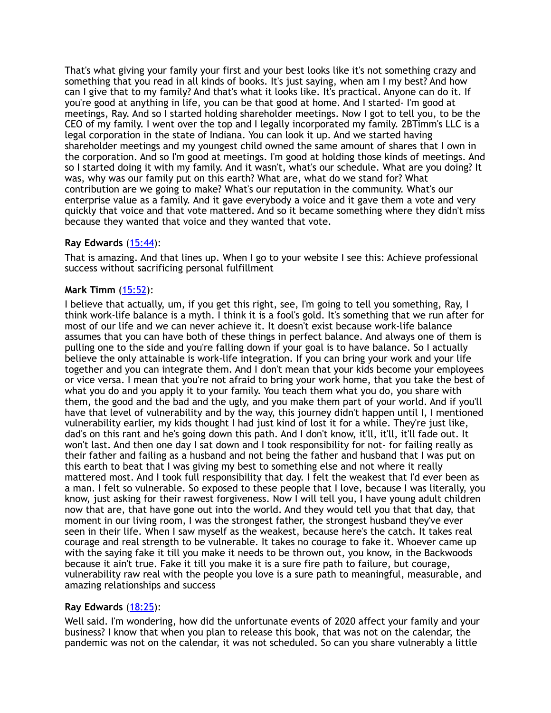That's what giving your family your first and your best looks like it's not something crazy and something that you read in all kinds of books. It's just saying, when am I my best? And how can I give that to my family? And that's what it looks like. It's practical. Anyone can do it. If you're good at anything in life, you can be that good at home. And I started- I'm good at meetings, Ray. And so I started holding shareholder meetings. Now I got to tell you, to be the CEO of my family. I went over the top and I legally incorporated my family. 2BTimm's LLC is a legal corporation in the state of Indiana. You can look it up. And we started having shareholder meetings and my youngest child owned the same amount of shares that I own in the corporation. And so I'm good at meetings. I'm good at holding those kinds of meetings. And so I started doing it with my family. And it wasn't, what's our schedule. What are you doing? It was, why was our family put on this earth? What are, what do we stand for? What contribution are we going to make? What's our reputation in the community. What's our enterprise value as a family. And it gave everybody a voice and it gave them a vote and very quickly that voice and that vote mattered. And so it became something where they didn't miss because they wanted that voice and they wanted that vote.

## **Ray Edwards** [\(15:44](https://www.temi.com/editor/t/qz9LEkyW01_XT7wrkiBQu8gVQmfB359_rsansvXy8Ydkx27KrsJKnJS6HzMYf9mDFS7pt4e6OFFHl3FV7EJvDQsi66o?loadFrom=DocumentDeeplink&ts=944.83)):

That is amazing. And that lines up. When I go to your website I see this: Achieve professional success without sacrificing personal fulfillment

### **Mark Timm** ([15:52\)](https://www.temi.com/editor/t/qz9LEkyW01_XT7wrkiBQu8gVQmfB359_rsansvXy8Ydkx27KrsJKnJS6HzMYf9mDFS7pt4e6OFFHl3FV7EJvDQsi66o?loadFrom=DocumentDeeplink&ts=952.66):

I believe that actually, um, if you get this right, see, I'm going to tell you something, Ray, I think work-life balance is a myth. I think it is a fool's gold. It's something that we run after for most of our life and we can never achieve it. It doesn't exist because work-life balance assumes that you can have both of these things in perfect balance. And always one of them is pulling one to the side and you're falling down if your goal is to have balance. So I actually believe the only attainable is work-life integration. If you can bring your work and your life together and you can integrate them. And I don't mean that your kids become your employees or vice versa. I mean that you're not afraid to bring your work home, that you take the best of what you do and you apply it to your family. You teach them what you do, you share with them, the good and the bad and the ugly, and you make them part of your world. And if you'll have that level of vulnerability and by the way, this journey didn't happen until I, I mentioned vulnerability earlier, my kids thought I had just kind of lost it for a while. They're just like, dad's on this rant and he's going down this path. And I don't know, it'll, it'll, it'll fade out. It won't last. And then one day I sat down and I took responsibility for not- for failing really as their father and failing as a husband and not being the father and husband that I was put on this earth to beat that I was giving my best to something else and not where it really mattered most. And I took full responsibility that day. I felt the weakest that I'd ever been as a man. I felt so vulnerable. So exposed to these people that I love, because I was literally, you know, just asking for their rawest forgiveness. Now I will tell you, I have young adult children now that are, that have gone out into the world. And they would tell you that that day, that moment in our living room, I was the strongest father, the strongest husband they've ever seen in their life. When I saw myself as the weakest, because here's the catch. It takes real courage and real strength to be vulnerable. It takes no courage to fake it. Whoever came up with the saying fake it till you make it needs to be thrown out, you know, in the Backwoods because it ain't true. Fake it till you make it is a sure fire path to failure, but courage, vulnerability raw real with the people you love is a sure path to meaningful, measurable, and amazing relationships and success

### **Ray Edwards** [\(18:25](https://www.temi.com/editor/t/qz9LEkyW01_XT7wrkiBQu8gVQmfB359_rsansvXy8Ydkx27KrsJKnJS6HzMYf9mDFS7pt4e6OFFHl3FV7EJvDQsi66o?loadFrom=DocumentDeeplink&ts=1105.91)):

Well said. I'm wondering, how did the unfortunate events of 2020 affect your family and your business? I know that when you plan to release this book, that was not on the calendar, the pandemic was not on the calendar, it was not scheduled. So can you share vulnerably a little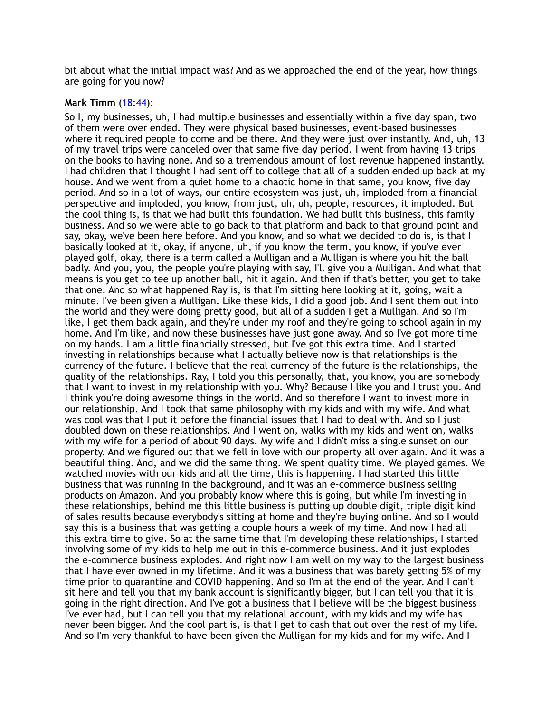bit about what the initial impact was? And as we approached the end of the year, how things are going for you now?

### **Mark Timm** ([18:44\)](https://www.temi.com/editor/t/qz9LEkyW01_XT7wrkiBQu8gVQmfB359_rsansvXy8Ydkx27KrsJKnJS6HzMYf9mDFS7pt4e6OFFHl3FV7EJvDQsi66o?loadFrom=DocumentDeeplink&ts=1124.69):

So I, my businesses, uh, I had multiple businesses and essentially within a five day span, two of them were over ended. They were physical based businesses, event-based businesses where it required people to come and be there. And they were just over instantly. And, uh, 13 of my travel trips were canceled over that same five day period. I went from having 13 trips on the books to having none. And so a tremendous amount of lost revenue happened instantly. I had children that I thought I had sent off to college that all of a sudden ended up back at my house. And we went from a quiet home to a chaotic home in that same, you know, five day period. And so in a lot of ways, our entire ecosystem was just, uh, imploded from a financial perspective and imploded, you know, from just, uh, uh, people, resources, it imploded. But the cool thing is, is that we had built this foundation. We had built this business, this family business. And so we were able to go back to that platform and back to that ground point and say, okay, we've been here before. And you know, and so what we decided to do is, is that I basically looked at it, okay, if anyone, uh, if you know the term, you know, if you've ever played golf, okay, there is a term called a Mulligan and a Mulligan is where you hit the ball badly. And you, you, the people you're playing with say, I'll give you a Mulligan. And what that means is you get to tee up another ball, hit it again. And then if that's better, you get to take that one. And so what happened Ray is, is that I'm sitting here looking at it, going, wait a minute. I've been given a Mulligan. Like these kids, I did a good job. And I sent them out into the world and they were doing pretty good, but all of a sudden I get a Mulligan. And so I'm like, I get them back again, and they're under my roof and they're going to school again in my home. And I'm like, and now these businesses have just gone away. And so I've got more time on my hands. I am a little financially stressed, but I've got this extra time. And I started investing in relationships because what I actually believe now is that relationships is the currency of the future. I believe that the real currency of the future is the relationships, the quality of the relationships. Ray, I told you this personally, that, you know, you are somebody that I want to invest in my relationship with you. Why? Because I like you and I trust you. And I think you're doing awesome things in the world. And so therefore I want to invest more in our relationship. And I took that same philosophy with my kids and with my wife. And what was cool was that I put it before the financial issues that I had to deal with. And so I just doubled down on these relationships. And I went on, walks with my kids and went on, walks with my wife for a period of about 90 days. My wife and I didn't miss a single sunset on our property. And we figured out that we fell in love with our property all over again. And it was a beautiful thing. And, and we did the same thing. We spent quality time. We played games. We watched movies with our kids and all the time, this is happening. I had started this little business that was running in the background, and it was an e-commerce business selling products on Amazon. And you probably know where this is going, but while I'm investing in these relationships, behind me this little business is putting up double digit, triple digit kind of sales results because everybody's sitting at home and they're buying online. And so I would say this is a business that was getting a couple hours a week of my time. And now I had all this extra time to give. So at the same time that I'm developing these relationships, I started involving some of my kids to help me out in this e-commerce business. And it just explodes the e-commerce business explodes. And right now I am well on my way to the largest business that I have ever owned in my lifetime. And it was a business that was barely getting 5% of my time prior to quarantine and COVID happening. And so I'm at the end of the year. And I can't sit here and tell you that my bank account is significantly bigger, but I can tell you that it is going in the right direction. And I've got a business that I believe will be the biggest business I've ever had, but I can tell you that my relational account, with my kids and my wife has never been bigger. And the cool part is, is that I get to cash that out over the rest of my life. And so I'm very thankful to have been given the Mulligan for my kids and for my wife. And I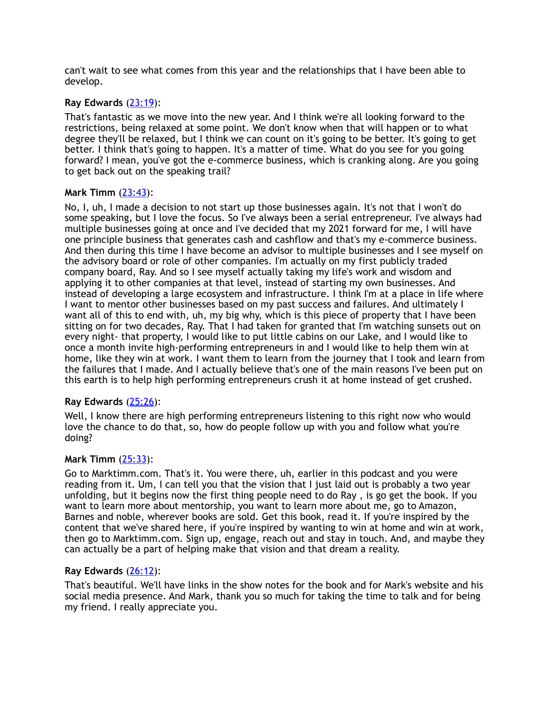can't wait to see what comes from this year and the relationships that I have been able to develop.

## **Ray Edwards** [\(23:19](https://www.temi.com/editor/t/qz9LEkyW01_XT7wrkiBQu8gVQmfB359_rsansvXy8Ydkx27KrsJKnJS6HzMYf9mDFS7pt4e6OFFHl3FV7EJvDQsi66o?loadFrom=DocumentDeeplink&ts=1399.68)):

That's fantastic as we move into the new year. And I think we're all looking forward to the restrictions, being relaxed at some point. We don't know when that will happen or to what degree they'll be relaxed, but I think we can count on it's going to be better. It's going to get better. I think that's going to happen. It's a matter of time. What do you see for you going forward? I mean, you've got the e-commerce business, which is cranking along. Are you going to get back out on the speaking trail?

## **Mark Timm** ([23:43\)](https://www.temi.com/editor/t/qz9LEkyW01_XT7wrkiBQu8gVQmfB359_rsansvXy8Ydkx27KrsJKnJS6HzMYf9mDFS7pt4e6OFFHl3FV7EJvDQsi66o?loadFrom=DocumentDeeplink&ts=1423.02):

No, I, uh, I made a decision to not start up those businesses again. It's not that I won't do some speaking, but I love the focus. So I've always been a serial entrepreneur. I've always had multiple businesses going at once and I've decided that my 2021 forward for me, I will have one principle business that generates cash and cashflow and that's my e-commerce business. And then during this time I have become an advisor to multiple businesses and I see myself on the advisory board or role of other companies. I'm actually on my first publicly traded company board, Ray. And so I see myself actually taking my life's work and wisdom and applying it to other companies at that level, instead of starting my own businesses. And instead of developing a large ecosystem and infrastructure. I think I'm at a place in life where I want to mentor other businesses based on my past success and failures. And ultimately I want all of this to end with, uh, my big why, which is this piece of property that I have been sitting on for two decades, Ray. That I had taken for granted that I'm watching sunsets out on every night- that property, I would like to put little cabins on our Lake, and I would like to once a month invite high-performing entrepreneurs in and I would like to help them win at home, like they win at work. I want them to learn from the journey that I took and learn from the failures that I made. And I actually believe that's one of the main reasons I've been put on this earth is to help high performing entrepreneurs crush it at home instead of get crushed.

## **Ray Edwards** [\(25:26](https://www.temi.com/editor/t/qz9LEkyW01_XT7wrkiBQu8gVQmfB359_rsansvXy8Ydkx27KrsJKnJS6HzMYf9mDFS7pt4e6OFFHl3FV7EJvDQsi66o?loadFrom=DocumentDeeplink&ts=1526.32)):

Well, I know there are high performing entrepreneurs listening to this right now who would love the chance to do that, so, how do people follow up with you and follow what you're doing?

### **Mark Timm** ([25:33\)](https://www.temi.com/editor/t/qz9LEkyW01_XT7wrkiBQu8gVQmfB359_rsansvXy8Ydkx27KrsJKnJS6HzMYf9mDFS7pt4e6OFFHl3FV7EJvDQsi66o?loadFrom=DocumentDeeplink&ts=1533.16):

Go to Marktimm.com. That's it. You were there, uh, earlier in this podcast and you were reading from it. Um, I can tell you that the vision that I just laid out is probably a two year unfolding, but it begins now the first thing people need to do Ray , is go get the book. If you want to learn more about mentorship, you want to learn more about me, go to Amazon, Barnes and noble, wherever books are sold. Get this book, read it. If you're inspired by the content that we've shared here, if you're inspired by wanting to win at home and win at work, then go to Marktimm.com. Sign up, engage, reach out and stay in touch. And, and maybe they can actually be a part of helping make that vision and that dream a reality.

### **Ray Edwards** [\(26:12](https://www.temi.com/editor/t/qz9LEkyW01_XT7wrkiBQu8gVQmfB359_rsansvXy8Ydkx27KrsJKnJS6HzMYf9mDFS7pt4e6OFFHl3FV7EJvDQsi66o?loadFrom=DocumentDeeplink&ts=1572.58)):

That's beautiful. We'll have links in the show notes for the book and for Mark's website and his social media presence. And Mark, thank you so much for taking the time to talk and for being my friend. I really appreciate you.